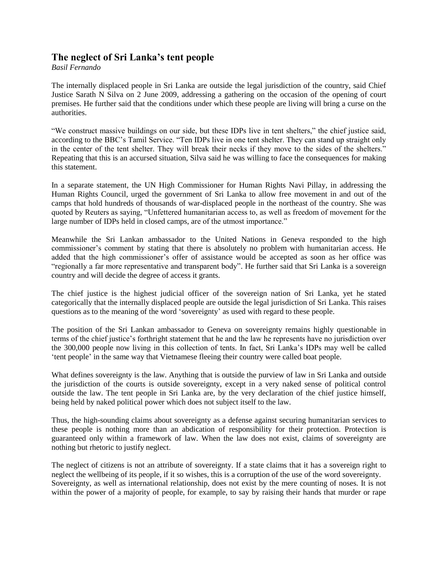## **The neglect of Sri Lanka's tent people**

*Basil Fernando*

The internally displaced people in Sri Lanka are outside the legal jurisdiction of the country, said Chief Justice Sarath N Silva on 2 June 2009, addressing a gathering on the occasion of the opening of court premises. He further said that the conditions under which these people are living will bring a curse on the authorities.

"We construct massive buildings on our side, but these IDPs live in tent shelters," the chief justice said, according to the BBC's Tamil Service. "Ten IDPs live in one tent shelter. They can stand up straight only in the center of the tent shelter. They will break their necks if they move to the sides of the shelters." Repeating that this is an accursed situation, Silva said he was willing to face the consequences for making this statement.

In a separate statement, the UN High Commissioner for Human Rights Navi Pillay, in addressing the Human Rights Council, urged the government of Sri Lanka to allow free movement in and out of the camps that hold hundreds of thousands of war-displaced people in the northeast of the country. She was quoted by Reuters as saying, "Unfettered humanitarian access to, as well as freedom of movement for the large number of IDPs held in closed camps, are of the utmost importance."

Meanwhile the Sri Lankan ambassador to the United Nations in Geneva responded to the high commissioner's comment by stating that there is absolutely no problem with humanitarian access. He added that the high commissioner's offer of assistance would be accepted as soon as her office was "regionally a far more representative and transparent body". He further said that Sri Lanka is a sovereign country and will decide the degree of access it grants.

The chief justice is the highest judicial officer of the sovereign nation of Sri Lanka, yet he stated categorically that the internally displaced people are outside the legal jurisdiction of Sri Lanka. This raises questions as to the meaning of the word 'sovereignty' as used with regard to these people.

The position of the Sri Lankan ambassador to Geneva on sovereignty remains highly questionable in terms of the chief justice's forthright statement that he and the law he represents have no jurisdiction over the 300,000 people now living in this collection of tents. In fact, Sri Lanka's IDPs may well be called 'tent people' in the same way that Vietnamese fleeing their country were called boat people.

What defines sovereignty is the law. Anything that is outside the purview of law in Sri Lanka and outside the jurisdiction of the courts is outside sovereignty, except in a very naked sense of political control outside the law. The tent people in Sri Lanka are, by the very declaration of the chief justice himself, being held by naked political power which does not subject itself to the law.

Thus, the high-sounding claims about sovereignty as a defense against securing humanitarian services to these people is nothing more than an abdication of responsibility for their protection. Protection is guaranteed only within a framework of law. When the law does not exist, claims of sovereignty are nothing but rhetoric to justify neglect.

The neglect of citizens is not an attribute of sovereignty. If a state claims that it has a sovereign right to neglect the wellbeing of its people, if it so wishes, this is a corruption of the use of the word sovereignty. Sovereignty, as well as international relationship, does not exist by the mere counting of noses. It is not within the power of a majority of people, for example, to say by raising their hands that murder or rape